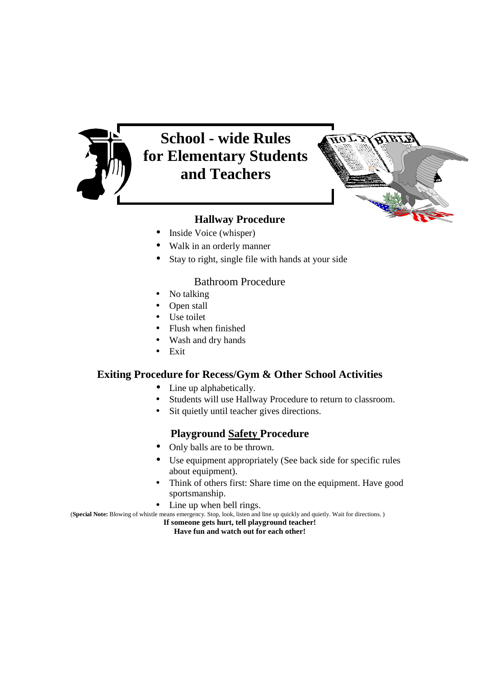

# **School - wide Rules for Elementary Students and Teachers**



## **Hallway Procedure**

- Inside Voice (whisper)
- Walk in an orderly manner
- Stay to right, single file with hands at your side

#### Bathroom Procedure

- No talking
- Open stall
- Use toilet
- Flush when finished
- Wash and dry hands
- Exit

#### **Exiting Procedure for Recess/Gym & Other School Activities**

- Line up alphabetically.
- Students will use Hallway Procedure to return to classroom.
- Sit quietly until teacher gives directions.

#### **Playground Safety Procedure**

- Only balls are to be thrown.
- Use equipment appropriately (See back side for specific rules about equipment).
- Think of others first: Share time on the equipment. Have good sportsmanship.
- Line up when bell rings.

(**Special Note:** Blowing of whistle means emergency. Stop, look, listen and line up quickly and quietly. Wait for directions. )

**If someone gets hurt, tell playground teacher! Have fun and watch out for each other!**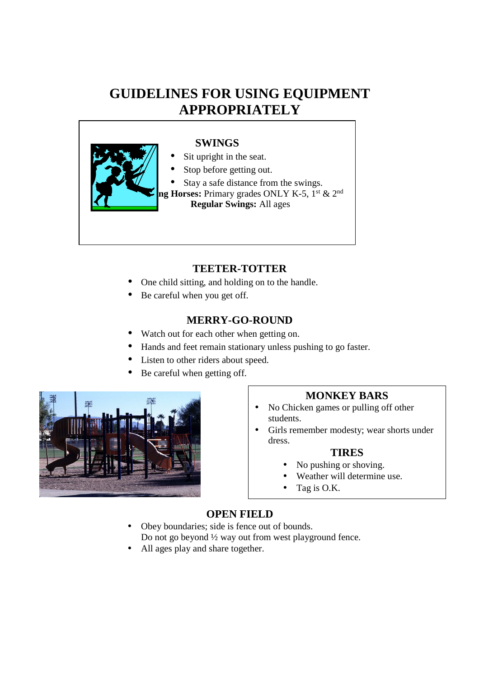## **GUIDELINES FOR USING EQUIPMENT APPROPRIATELY**



#### **SWINGS**

- Sit upright in the seat.
- Stop before getting out.
- Stay a safe distance from the swings.

**ng Horses:** Primary grades ONLY K-5, 1<sup>st</sup> & 2<sup>nd</sup>  **Regular Swings:** All ages

### **TEETER-TOTTER**

- One child sitting, and holding on to the handle.
- Be careful when you get off.

#### **MERRY-GO-ROUND**

- Watch out for each other when getting on.
- Hands and feet remain stationary unless pushing to go faster.
- Listen to other riders about speed.
- Be careful when getting off.



#### **MONKEY BARS**

- No Chicken games or pulling off other students.
- Girls remember modesty; wear shorts under dress.

#### **TIRES**

- No pushing or shoving.
- Weather will determine use.
- Tag is O.K.

#### **OPEN FIELD**

- Obey boundaries; side is fence out of bounds. Do not go beyond ½ way out from west playground fence.
- All ages play and share together.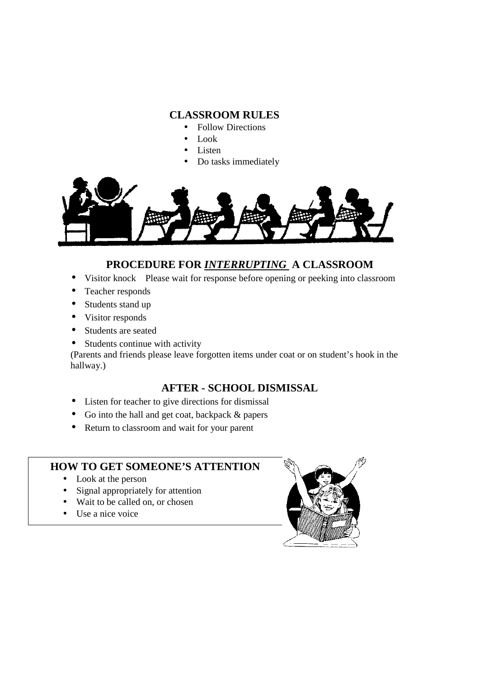#### **CLASSROOM RULES**

- Follow Directions
- Look
- Listen
- Do tasks immediately



## **PROCEDURE FOR** *INTERRUPTING* **A CLASSROOM**

- Visitor knock Please wait for response before opening or peeking into classroom
- Teacher responds
- Students stand up
- Visitor responds
- Students are seated
- Students continue with activity

(Parents and friends please leave forgotten items under coat or on student's hook in the hallway.)

## **AFTER - SCHOOL DISMISSAL**

- Listen for teacher to give directions for dismissal
- Go into the hall and get coat, backpack & papers
- Return to classroom and wait for your parent

#### **HOW TO GET SOMEONE'S ATTENTION**

- Look at the person
- Signal appropriately for attention
- Wait to be called on, or chosen
- Use a nice voice